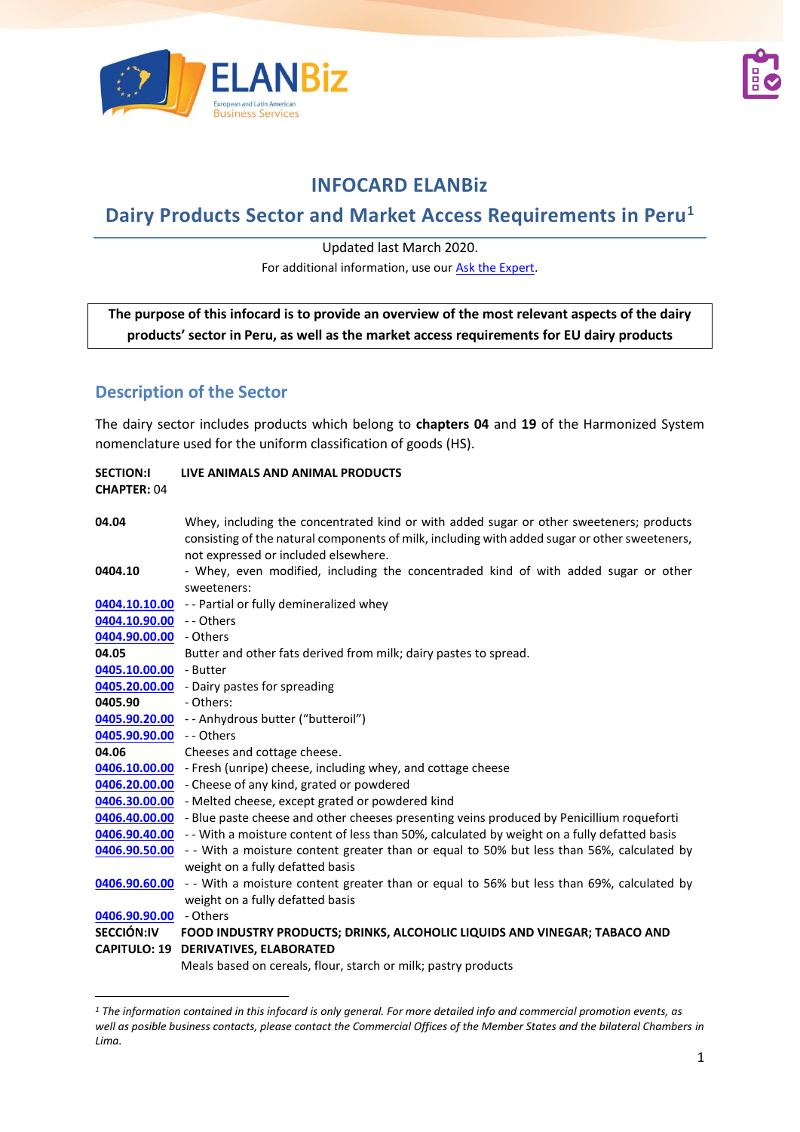



# **INFOCARD ELANBiz**

# **Dairy Products Sector and Market Access Requirements in Peru<sup>1</sup>**

Updated last March 2020.

For additional information, use our [Ask the Expert.](http://bit.ly/2fQNCnJ)

**The purpose of this infocard is to provide an overview of the most relevant aspects of the dairy products' sector in Peru, as well as the market access requirements for EU dairy products**

## **Description of the Sector**

The dairy sector includes products which belong to **chapters 04** and **19** of the Harmonized System nomenclature used for the uniform classification of goods (HS).

| <b>SECTION:I</b><br><b>CHAPTER: 04</b> | LIVE ANIMALS AND ANIMAL PRODUCTS                                                                                                                                                                                                 |
|----------------------------------------|----------------------------------------------------------------------------------------------------------------------------------------------------------------------------------------------------------------------------------|
| 04.04                                  | Whey, including the concentrated kind or with added sugar or other sweeteners; products<br>consisting of the natural components of milk, including with added sugar or other sweeteners,<br>not expressed or included elsewhere. |
| 0404.10                                | - Whey, even modified, including the concentraded kind of with added sugar or other<br>sweeteners:                                                                                                                               |
|                                        | 0404.10.10.00 - - Partial or fully demineralized whey                                                                                                                                                                            |
| 0404.10.90.00                          | -- Others                                                                                                                                                                                                                        |
| 0404.90.00.00 - Others                 |                                                                                                                                                                                                                                  |
| 04.05                                  | Butter and other fats derived from milk; dairy pastes to spread.                                                                                                                                                                 |
| 0405.10.00.00 - Butter                 |                                                                                                                                                                                                                                  |
| 0405.20.00.00                          | - Dairy pastes for spreading                                                                                                                                                                                                     |
| 0405.90                                | - Others:                                                                                                                                                                                                                        |
|                                        | 0405.90.20.00 - - Anhydrous butter ("butteroil")                                                                                                                                                                                 |
| 0405.90.90.00 - - Others               |                                                                                                                                                                                                                                  |
| 04.06                                  | Cheeses and cottage cheese.                                                                                                                                                                                                      |
|                                        | 0406.10.00.00 - Fresh (unripe) cheese, including whey, and cottage cheese                                                                                                                                                        |
|                                        | 0406.20.00.00 - Cheese of any kind, grated or powdered                                                                                                                                                                           |
| 0406.30.00.00                          | - Melted cheese, except grated or powdered kind                                                                                                                                                                                  |
|                                        | 0406.40.00.00 - Blue paste cheese and other cheeses presenting veins produced by Penicillium roqueforti                                                                                                                          |
|                                        | 0406.90.40.00 - - With a moisture content of less than 50%, calculated by weight on a fully defatted basis                                                                                                                       |
| 0406.90.50.00                          | - - With a moisture content greater than or equal to 50% but less than 56%, calculated by<br>weight on a fully defatted basis                                                                                                    |
| 0406.90.60.00                          | - - With a moisture content greater than or equal to 56% but less than 69%, calculated by<br>weight on a fully defatted basis                                                                                                    |
| 0406.90.90.00                          | - Others                                                                                                                                                                                                                         |
| <b>SECCIÓN:IV</b>                      | FOOD INDUSTRY PRODUCTS; DRINKS, ALCOHOLIC LIQUIDS AND VINEGAR; TABACO AND                                                                                                                                                        |
| <b>CAPITULO: 19</b>                    | <b>DERIVATIVES, ELABORATED</b>                                                                                                                                                                                                   |
|                                        | Meals based on cereals, flour, starch or milk; pastry products                                                                                                                                                                   |

*<sup>1</sup> The information contained in this infocard is only general. For more detailed info and commercial promotion events, as well as posible business contacts, please contact the Commercial Offices of the Member States and the bilateral Chambers in Lima.*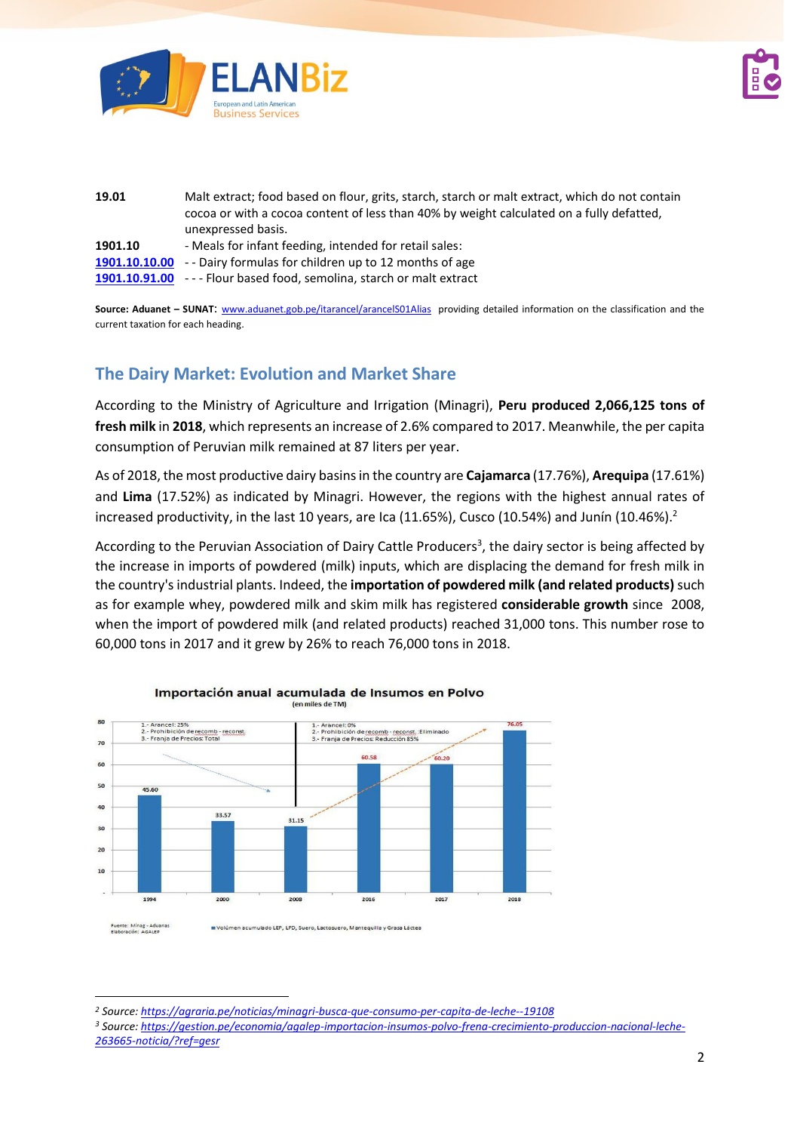



| 19.01         | Malt extract; food based on flour, grits, starch, starch or malt extract, which do not contain<br>cocoa or with a cocoa content of less than 40% by weight calculated on a fully defatted,<br>unexpressed basis. |  |  |  |
|---------------|------------------------------------------------------------------------------------------------------------------------------------------------------------------------------------------------------------------|--|--|--|
| 1901.10       | - Meals for infant feeding, intended for retail sales:                                                                                                                                                           |  |  |  |
| 1901.10.10.00 | -- Dairy formulas for children up to 12 months of age                                                                                                                                                            |  |  |  |
|               | <b>1901.10.91.00</b> --- Flour based food, semolina, starch or malt extract                                                                                                                                      |  |  |  |

Source: Aduanet - SUNAT: [www.aduanet.gob.pe/itarancel/arancelS01Alias](http://www.aduanet.gob.pe/itarancel/arancelS01Alias) providing detailed information on the classification and the current taxation for each heading.

## **The Dairy Market: Evolution and Market Share**

According to the Ministry of Agriculture and Irrigation (Minagri), **Peru produced 2,066,125 tons of fresh milk** in **2018**, which represents an increase of 2.6% compared to 2017. Meanwhile, the per capita consumption of Peruvian milk remained at 87 liters per year.

As of 2018, the most productive dairy basins in the country are **Cajamarca** (17.76%), **Arequipa** (17.61%) and **Lima** (17.52%) as indicated by Minagri. However, the regions with the highest annual rates of increased productivity, in the last 10 years, are Ica (11.65%), Cusco (10.54%) and Junín (10.46%).<sup>2</sup>

According to the Peruvian Association of Dairy Cattle Producers<sup>3</sup>, the dairy sector is being affected by the increase in imports of powdered (milk) inputs, which are displacing the demand for fresh milk in the country's industrial plants. Indeed, the **importation of powdered milk (and related products)**such as for example whey, powdered milk and skim milk has registered **considerable growth** since 2008, when the import of powdered milk (and related products) reached 31,000 tons. This number rose to 60,000 tons in 2017 and it grew by 26% to reach 76,000 tons in 2018.



Importación anual acumulada de Insumos en Polvo (en miles de TM)

*<sup>2</sup> Source:<https://agraria.pe/noticias/minagri-busca-que-consumo-per-capita-de-leche--19108>*

*<sup>3</sup> Source: [https://gestion.pe/economia/agalep-importacion-insumos-polvo-frena-crecimiento-produccion-nacional-leche-](https://gestion.pe/economia/agalep-importacion-insumos-polvo-frena-crecimiento-produccion-nacional-leche-263665-noticia/?ref=gesr)[263665-noticia/?ref=gesr](https://gestion.pe/economia/agalep-importacion-insumos-polvo-frena-crecimiento-produccion-nacional-leche-263665-noticia/?ref=gesr)*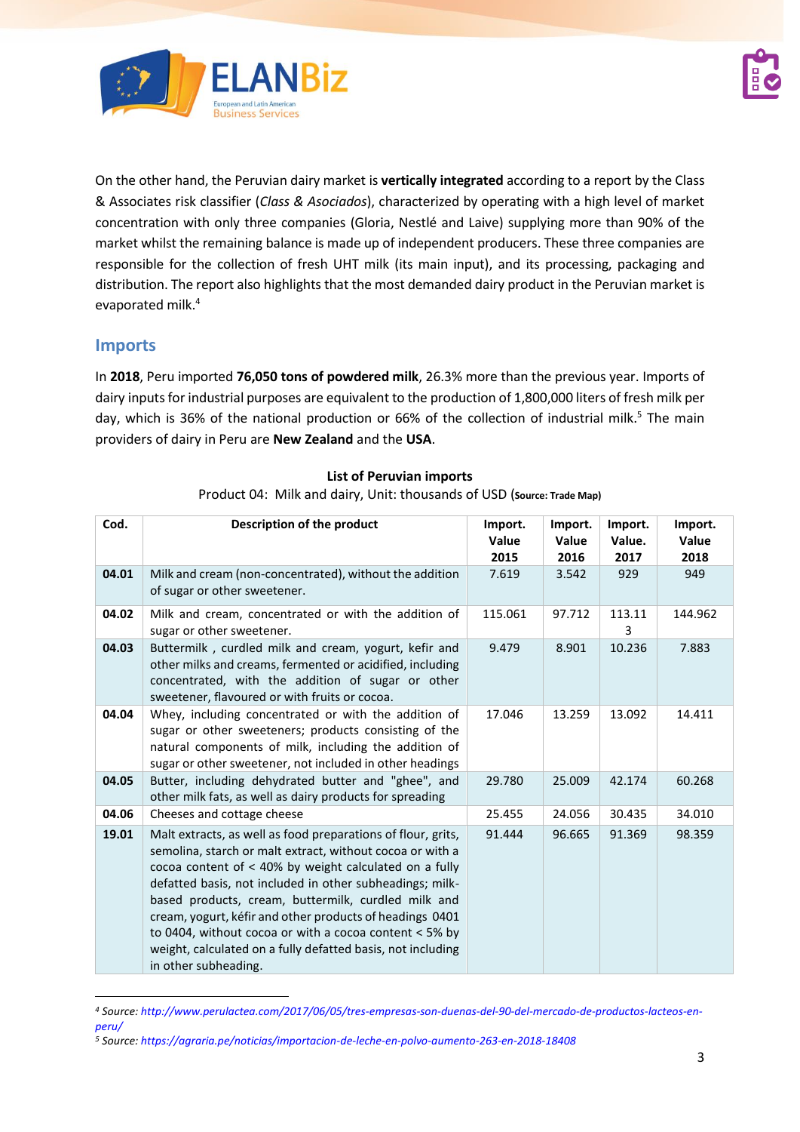



On the other hand, the Peruvian dairy market is **vertically integrated** according to a report by the Class & Associates risk classifier (*Class & Asociados*), characterized by operating with a high level of market concentration with only three companies (Gloria, Nestlé and Laive) supplying more than 90% of the market whilst the remaining balance is made up of independent producers. These three companies are responsible for the collection of fresh UHT milk (its main input), and its processing, packaging and distribution. The report also highlights that the most demanded dairy product in the Peruvian market is evaporated milk. 4

#### **Imports**

In **2018**, Peru imported **76,050 tons of powdered milk**, 26.3% more than the previous year. Imports of dairy inputs for industrial purposes are equivalent to the production of 1,800,000 liters of fresh milk per day, which is 36% of the national production or 66% of the collection of industrial milk.<sup>5</sup> The main providers of dairy in Peru are **New Zealand** and the **USA**.

| Cod.  | Description of the product                                                                                                                                                                                                                                                                                                                                                                                                                                                                                            | Import.<br>Value<br>2015 | Import.<br>Value<br>2016 | Import.<br>Value.<br>2017 | Import.<br>Value<br>2018 |
|-------|-----------------------------------------------------------------------------------------------------------------------------------------------------------------------------------------------------------------------------------------------------------------------------------------------------------------------------------------------------------------------------------------------------------------------------------------------------------------------------------------------------------------------|--------------------------|--------------------------|---------------------------|--------------------------|
| 04.01 | Milk and cream (non-concentrated), without the addition<br>of sugar or other sweetener.                                                                                                                                                                                                                                                                                                                                                                                                                               | 7.619                    | 3.542                    | 929                       | 949                      |
| 04.02 | Milk and cream, concentrated or with the addition of<br>sugar or other sweetener.                                                                                                                                                                                                                                                                                                                                                                                                                                     | 115.061                  | 97.712                   | 113.11<br>3               | 144.962                  |
| 04.03 | Buttermilk, curdled milk and cream, yogurt, kefir and<br>other milks and creams, fermented or acidified, including<br>concentrated, with the addition of sugar or other<br>sweetener, flavoured or with fruits or cocoa.                                                                                                                                                                                                                                                                                              | 9.479                    | 8.901                    | 10.236                    | 7.883                    |
| 04.04 | Whey, including concentrated or with the addition of<br>sugar or other sweeteners; products consisting of the<br>natural components of milk, including the addition of<br>sugar or other sweetener, not included in other headings                                                                                                                                                                                                                                                                                    | 17.046                   | 13.259                   | 13.092                    | 14.411                   |
| 04.05 | Butter, including dehydrated butter and "ghee", and<br>other milk fats, as well as dairy products for spreading                                                                                                                                                                                                                                                                                                                                                                                                       | 29.780                   | 25.009                   | 42.174                    | 60.268                   |
| 04.06 | Cheeses and cottage cheese                                                                                                                                                                                                                                                                                                                                                                                                                                                                                            | 25.455                   | 24.056                   | 30.435                    | 34.010                   |
| 19.01 | Malt extracts, as well as food preparations of flour, grits,<br>semolina, starch or malt extract, without cocoa or with a<br>cocoa content of < 40% by weight calculated on a fully<br>defatted basis, not included in other subheadings; milk-<br>based products, cream, buttermilk, curdled milk and<br>cream, yogurt, kéfir and other products of headings 0401<br>to 0404, without cocoa or with a cocoa content $<$ 5% by<br>weight, calculated on a fully defatted basis, not including<br>in other subheading. | 91.444                   | 96.665                   | 91.369                    | 98.359                   |

#### **List of Peruvian imports** Product 04: Milk and dairy, Unit: thousands of USD (**Source: Trade Map)**

*<sup>4</sup> Source: [http://www.perulactea.com/2017/06/05/tres-empresas-son-duenas-del-90-del-mercado-de-productos-lacteos-en](http://www.perulactea.com/2017/06/05/tres-empresas-son-duenas-del-90-del-mercado-de-productos-lacteos-en-peru/)[peru/](http://www.perulactea.com/2017/06/05/tres-empresas-son-duenas-del-90-del-mercado-de-productos-lacteos-en-peru/)*

*<sup>5</sup> Source:<https://agraria.pe/noticias/importacion-de-leche-en-polvo-aumento-263-en-2018-18408>*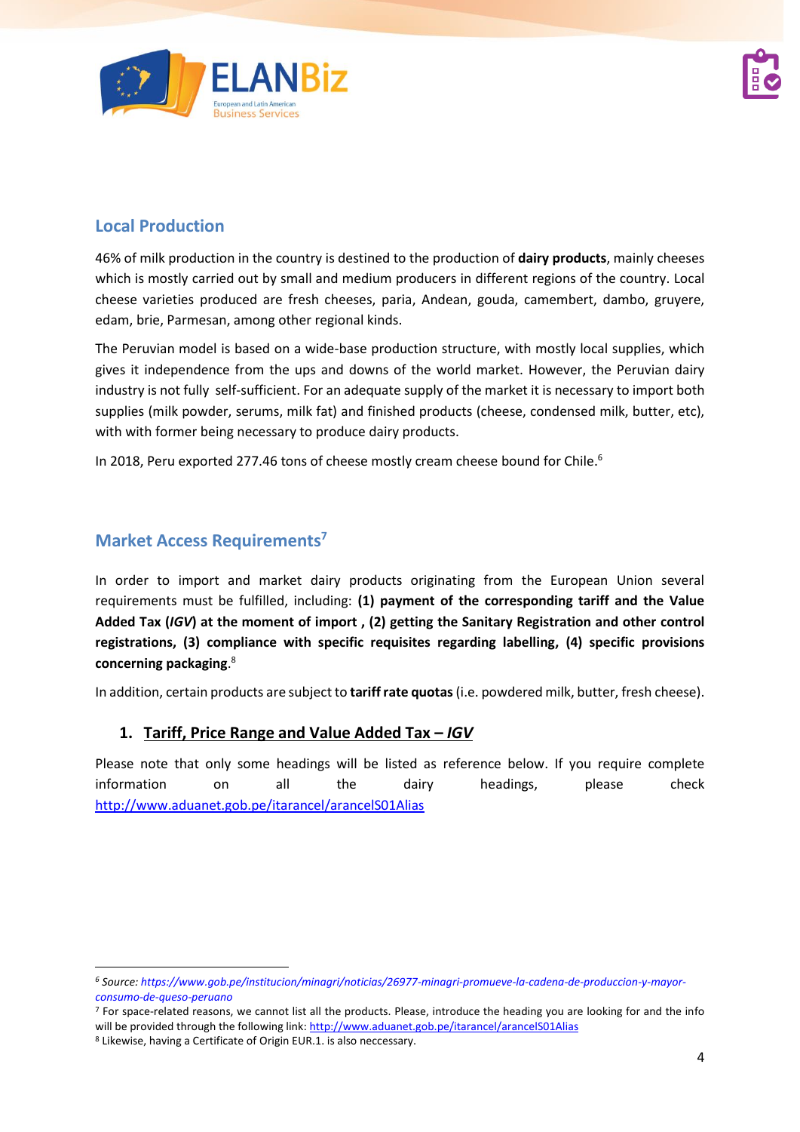

## **Local Production**

46% of milk production in the country is destined to the production of **dairy products**, mainly cheeses which is mostly carried out by small and medium producers in different regions of the country. Local cheese varieties produced are fresh cheeses, paria, Andean, gouda, camembert, dambo, gruyere, edam, brie, Parmesan, among other regional kinds.

The Peruvian model is based on a wide-base production structure, with mostly local supplies, which gives it independence from the ups and downs of the world market. However, the Peruvian dairy industry is not fully self-sufficient. For an adequate supply of the market it is necessary to import both supplies (milk powder, serums, milk fat) and finished products (cheese, condensed milk, butter, etc), with with former being necessary to produce dairy products.

In 2018, Peru exported 277.46 tons of cheese mostly cream cheese bound for Chile.<sup>6</sup>

## **Market Access Requirements<sup>7</sup>**

In order to import and market dairy products originating from the European Union several requirements must be fulfilled, including: **(1) payment of the corresponding tariff and the Value Added Tax (***IGV***) at the moment of import , (2) getting the Sanitary Registration and other control registrations, (3) compliance with specific requisites regarding labelling, (4) specific provisions concerning packaging**. 8

In addition, certain products are subject to **tariff rate quotas**(i.e. powdered milk, butter, fresh cheese).

### **1. Tariff, Price Range and Value Added Tax –** *IGV*

Please note that only some headings will be listed as reference below. If you require complete information on all the dairy headings, please check <http://www.aduanet.gob.pe/itarancel/arancelS01Alias>

*<sup>6</sup> Source: [https://www.gob.pe/institucion/minagri/noticias/26977-minagri-promueve-la-cadena-de-produccion-y-mayor](https://www.gob.pe/institucion/minagri/noticias/26977-minagri-promueve-la-cadena-de-produccion-y-mayor-consumo-de-queso-peruano)[consumo-de-queso-peruano](https://www.gob.pe/institucion/minagri/noticias/26977-minagri-promueve-la-cadena-de-produccion-y-mayor-consumo-de-queso-peruano)*

<sup>&</sup>lt;sup>7</sup> For space-related reasons, we cannot list all the products. Please, introduce the heading you are looking for and the info will be provided through the following link[: http://www.aduanet.gob.pe/itarancel/arancelS01Alias](http://www.aduanet.gob.pe/itarancel/arancelS01Alias)

<sup>8</sup> Likewise, having a Certificate of Origin EUR.1. is also neccessary.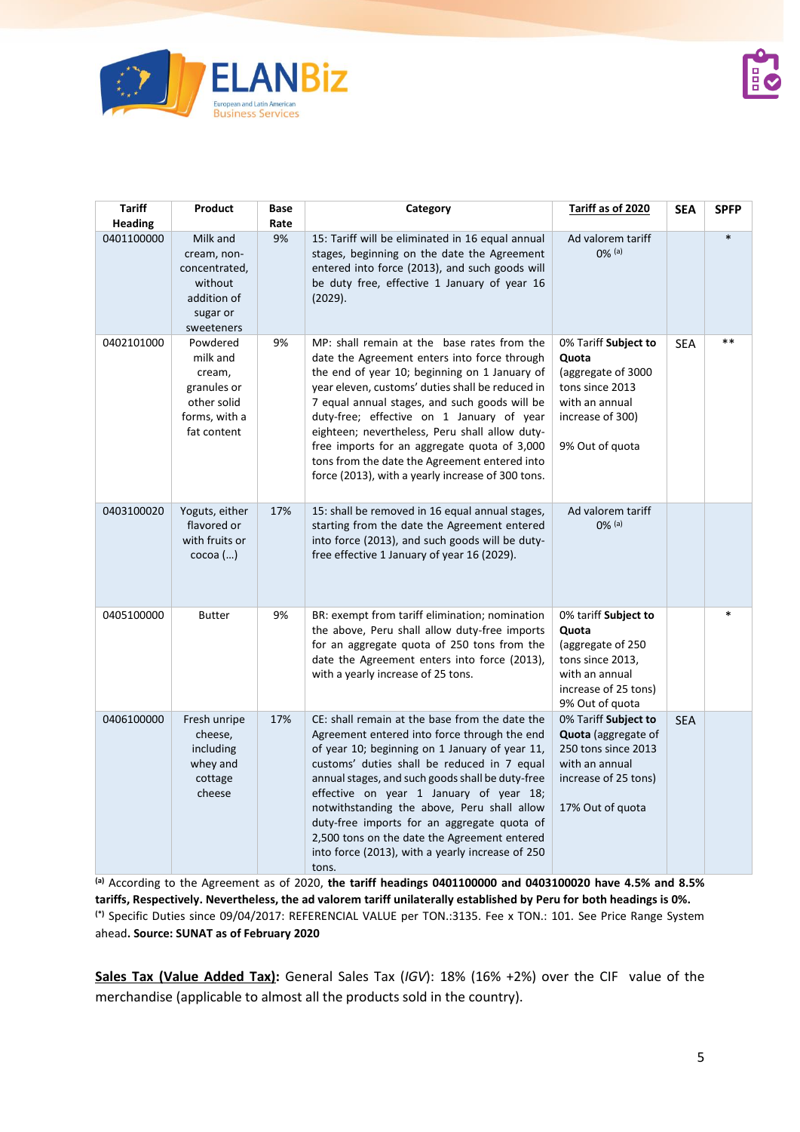

| <b>Tariff</b><br><b>Heading</b> | Product                                                                                      | Base<br>Rate | Category                                                                                                                                                                                                                                                                                                                                                                                                                                                                                                  | Tariff as of 2020                                                                                                                       | <b>SEA</b> | <b>SPFP</b> |
|---------------------------------|----------------------------------------------------------------------------------------------|--------------|-----------------------------------------------------------------------------------------------------------------------------------------------------------------------------------------------------------------------------------------------------------------------------------------------------------------------------------------------------------------------------------------------------------------------------------------------------------------------------------------------------------|-----------------------------------------------------------------------------------------------------------------------------------------|------------|-------------|
| 0401100000                      | Milk and<br>cream, non-<br>concentrated,<br>without<br>addition of<br>sugar or<br>sweeteners | 9%           | 15: Tariff will be eliminated in 16 equal annual<br>stages, beginning on the date the Agreement<br>entered into force (2013), and such goods will<br>be duty free, effective 1 January of year 16<br>(2029).                                                                                                                                                                                                                                                                                              | Ad valorem tariff<br>$0\%$ (a)                                                                                                          |            | $\ast$      |
| 0402101000                      | Powdered<br>milk and<br>cream,<br>granules or<br>other solid<br>forms, with a<br>fat content | 9%           | MP: shall remain at the base rates from the<br>date the Agreement enters into force through<br>the end of year 10; beginning on 1 January of<br>year eleven, customs' duties shall be reduced in<br>7 equal annual stages, and such goods will be<br>duty-free; effective on 1 January of year<br>eighteen; nevertheless, Peru shall allow duty-<br>free imports for an aggregate quota of 3,000<br>tons from the date the Agreement entered into<br>force (2013), with a yearly increase of 300 tons.    | 0% Tariff Subject to<br>Quota<br>(aggregate of 3000<br>tons since 2013<br>with an annual<br>increase of 300)<br>9% Out of quota         | <b>SEA</b> | $***$       |
| 0403100020                      | Yoguts, either<br>flavored or<br>with fruits or<br>$\csc$ oa $()$                            | 17%          | 15: shall be removed in 16 equal annual stages,<br>starting from the date the Agreement entered<br>into force (2013), and such goods will be duty-<br>free effective 1 January of year 16 (2029).                                                                                                                                                                                                                                                                                                         | Ad valorem tariff<br>$0\%$ (a)                                                                                                          |            |             |
| 0405100000                      | <b>Butter</b>                                                                                | 9%           | BR: exempt from tariff elimination; nomination<br>the above, Peru shall allow duty-free imports<br>for an aggregate quota of 250 tons from the<br>date the Agreement enters into force (2013),<br>with a yearly increase of 25 tons.                                                                                                                                                                                                                                                                      | 0% tariff Subject to<br>Quota<br>(aggregate of 250<br>tons since 2013,<br>with an annual<br>increase of 25 tons)<br>9% Out of quota     |            | $\ast$      |
| 0406100000                      | Fresh unripe<br>cheese,<br>including<br>whey and<br>cottage<br>cheese                        | 17%          | CE: shall remain at the base from the date the<br>Agreement entered into force through the end<br>of year 10; beginning on 1 January of year 11,<br>customs' duties shall be reduced in 7 equal<br>annual stages, and such goods shall be duty-free<br>effective on year 1 January of year 18;<br>notwithstanding the above, Peru shall allow<br>duty-free imports for an aggregate quota of<br>2,500 tons on the date the Agreement entered<br>into force (2013), with a yearly increase of 250<br>tons. | 0% Tariff Subject to<br><b>Quota</b> (aggregate of<br>250 tons since 2013<br>with an annual<br>increase of 25 tons)<br>17% Out of quota | <b>SEA</b> |             |

**(a)** According to the Agreement as of 2020, **the tariff headings 0401100000 and 0403100020 have 4.5% and 8.5% tariffs, Respectively. Nevertheless, the ad valorem tariff unilaterally established by Peru for both headings is 0%. (\*)** Specific Duties since 09/04/2017: REFERENCIAL VALUE per TON.:3135. Fee x TON.: 101. See Price Range System ahead**. Source: SUNAT as of February 2020**

**Sales Tax (Value Added Tax):** General Sales Tax (*IGV*): 18% (16% +2%) over the CIF value of the merchandise (applicable to almost all the products sold in the country).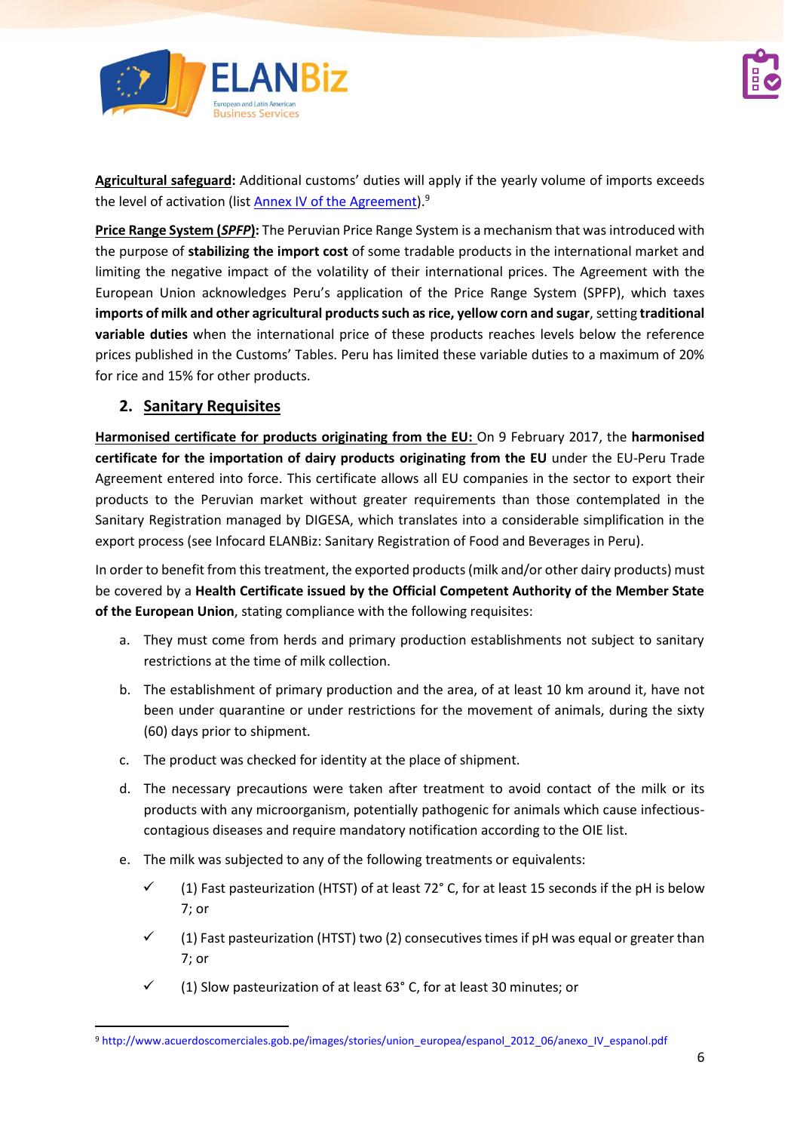



**Agricultural safeguard:** Additional customs' duties will apply if the yearly volume of imports exceeds the level of activation (list <u>Annex IV of the Agreement</u>).<sup>9</sup>

**Price Range System (***SPFP***):** The Peruvian Price Range System is a mechanism that was introduced with the purpose of **stabilizing the import cost** of some tradable products in the international market and limiting the negative impact of the volatility of their international prices. The Agreement with the European Union acknowledges Peru's application of the Price Range System (SPFP), which taxes **imports of milk and other agricultural products such as rice, yellow corn and sugar**, setting **traditional variable duties** when the international price of these products reaches levels below the reference prices published in the Customs' Tables. Peru has limited these variable duties to a maximum of 20% for rice and 15% for other products.

#### **2. Sanitary Requisites**

**Harmonised certificate for products originating from the EU:** On 9 February 2017, the **harmonised certificate for the importation of dairy products originating from the EU** under the EU-Peru Trade Agreement entered into force. This certificate allows all EU companies in the sector to export their products to the Peruvian market without greater requirements than those contemplated in the Sanitary Registration managed by DIGESA, which translates into a considerable simplification in the export process (see Infocard ELANBiz: Sanitary Registration of Food and Beverages in Peru).

In order to benefit from this treatment, the exported products (milk and/or other dairy products) must be covered by a **Health Certificate issued by the Official Competent Authority of the Member State of the European Union**, stating compliance with the following requisites:

- a. They must come from herds and primary production establishments not subject to sanitary restrictions at the time of milk collection.
- b. The establishment of primary production and the area, of at least 10 km around it, have not been under quarantine or under restrictions for the movement of animals, during the sixty (60) days prior to shipment.
- c. The product was checked for identity at the place of shipment.
- d. The necessary precautions were taken after treatment to avoid contact of the milk or its products with any microorganism, potentially pathogenic for animals which cause infectiouscontagious diseases and require mandatory notification according to the OIE list.
- e. The milk was subjected to any of the following treatments or equivalents:
	- $\checkmark$  (1) Fast pasteurization (HTST) of at least 72° C, for at least 15 seconds if the pH is below 7; or
	- $\checkmark$  (1) Fast pasteurization (HTST) two (2) consecutives times if pH was equal or greater than 7; or
	- $\checkmark$  (1) Slow pasteurization of at least 63° C, for at least 30 minutes; or

<sup>9</sup> [http://www.acuerdoscomerciales.gob.pe/images/stories/union\\_europea/espanol\\_2012\\_06/anexo\\_IV\\_espanol.pdf](http://www.acuerdoscomerciales.gob.pe/images/stories/union_europea/espanol_2012_06/anexo_IV_espanol.pdf)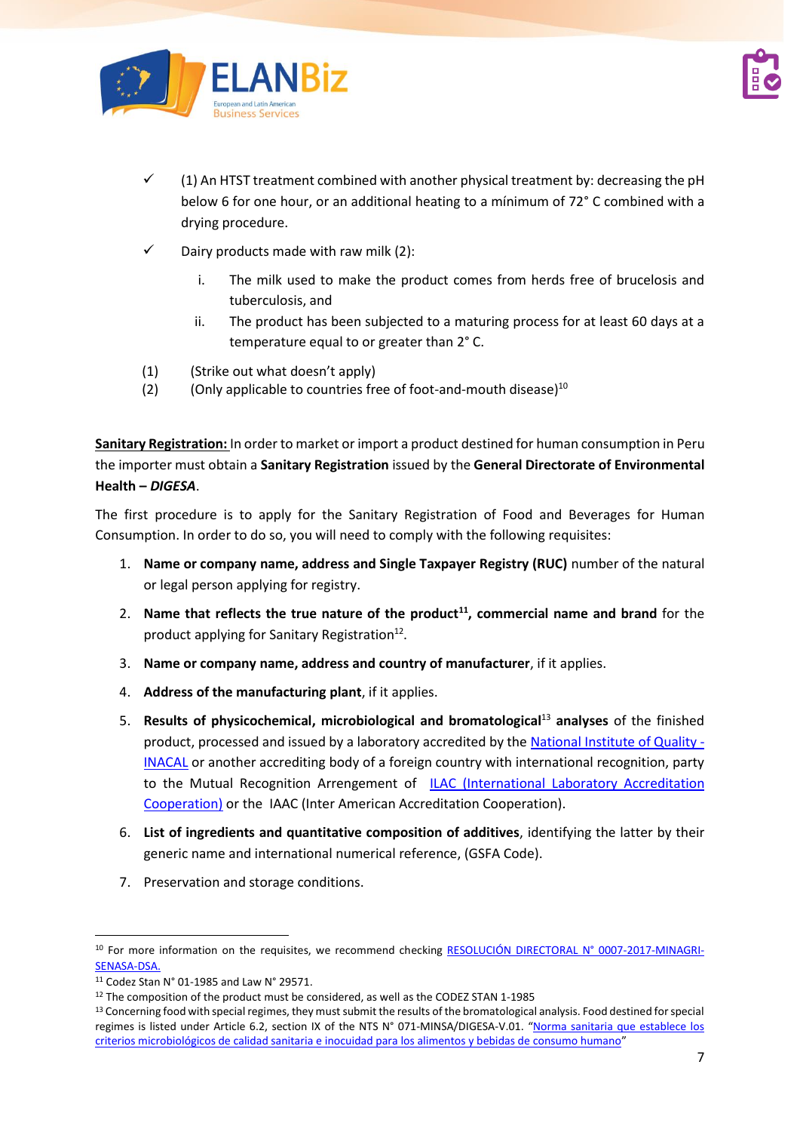



- ✓ (1) An HTST treatment combined with another physical treatment by: decreasing the pH below 6 for one hour, or an additional heating to a mínimum of 72° C combined with a drying procedure.
- $\checkmark$  Dairy products made with raw milk (2):
	- i. The milk used to make the product comes from herds free of brucelosis and tuberculosis, and
	- ii. The product has been subjected to a maturing process for at least 60 days at a temperature equal to or greater than 2° C.
- (1) (Strike out what doesn't apply)
- (2) (Only applicable to countries free of foot-and-mouth disease) $^{10}$

**Sanitary Registration:** In order to market or import a product destined for human consumption in Peru the importer must obtain a **Sanitary Registration** issued by the **General Directorate of Environmental Health –** *DIGESA*.

The first procedure is to apply for the Sanitary Registration of Food and Beverages for Human Consumption. In order to do so, you will need to comply with the following requisites:

- 1. **Name or company name, address and Single Taxpayer Registry (RUC)** number of the natural or legal person applying for registry.
- 2. **Name that reflects the true nature of the product<sup>11</sup>, commercial name and brand** for the product applying for Sanitary Registration<sup>12</sup>.
- 3. **Name or company name, address and country of manufacturer**, if it applies.
- 4. **Address of the manufacturing plant**, if it applies.
- 5. **Results of physicochemical, microbiological and bromatological**<sup>13</sup> **analyses** of the finished product, processed and issued by a laboratory accredited by th[e National Institute of Quality](https://www.inacal.gob.pe/) -[INACAL](https://www.inacal.gob.pe/) or another accrediting body of a foreign country with international recognition, party to the Mutual Recognition Arrengement of **ILAC (International Laboratory Accreditation** [Cooperation\)](https://ilac.org/) or the IAAC (Inter American Accreditation Cooperation).
- 6. **List of ingredients and quantitative composition of additives**, identifying the latter by their generic name and international numerical reference, (GSFA Code).
- 7. Preservation and storage conditions.

<sup>&</sup>lt;sup>10</sup> For more information on the requisites, we recommend checking [RESOLUCIÓN DIRECTORAL N° 0007-2017-MINAGRI-](https://busquedas.elperuano.pe/normaslegales/establecen-requisitos-zoosanitarios-especificos-de-cumplimie-resolucion-directoral-no-0007-2017-minagri-senasa-dsa-1484858-1/)[SENASA-DSA.](https://busquedas.elperuano.pe/normaslegales/establecen-requisitos-zoosanitarios-especificos-de-cumplimie-resolucion-directoral-no-0007-2017-minagri-senasa-dsa-1484858-1/)

<sup>11</sup> Codez Stan N° 01-1985 and Law N° 29571.

<sup>&</sup>lt;sup>12</sup> The composition of the product must be considered, as well as the CODEZ STAN 1-1985

<sup>&</sup>lt;sup>13</sup> Concerning food with special regimes, they must submit the results of the bromatological analysis. Food destined for special regimes is listed under Article 6.2, section IX of the NTS N° 071-MINSA/DIGESA-V.01. "Norma sanitaria que establece los [criterios microbiológicos de calidad sanitaria e inocuidad para los alimentos y bebidas de consumo humano](http://www.digesa.minsa.gob.pe/NormasLegales/Normas/RM591MINSANORMA.pdf)"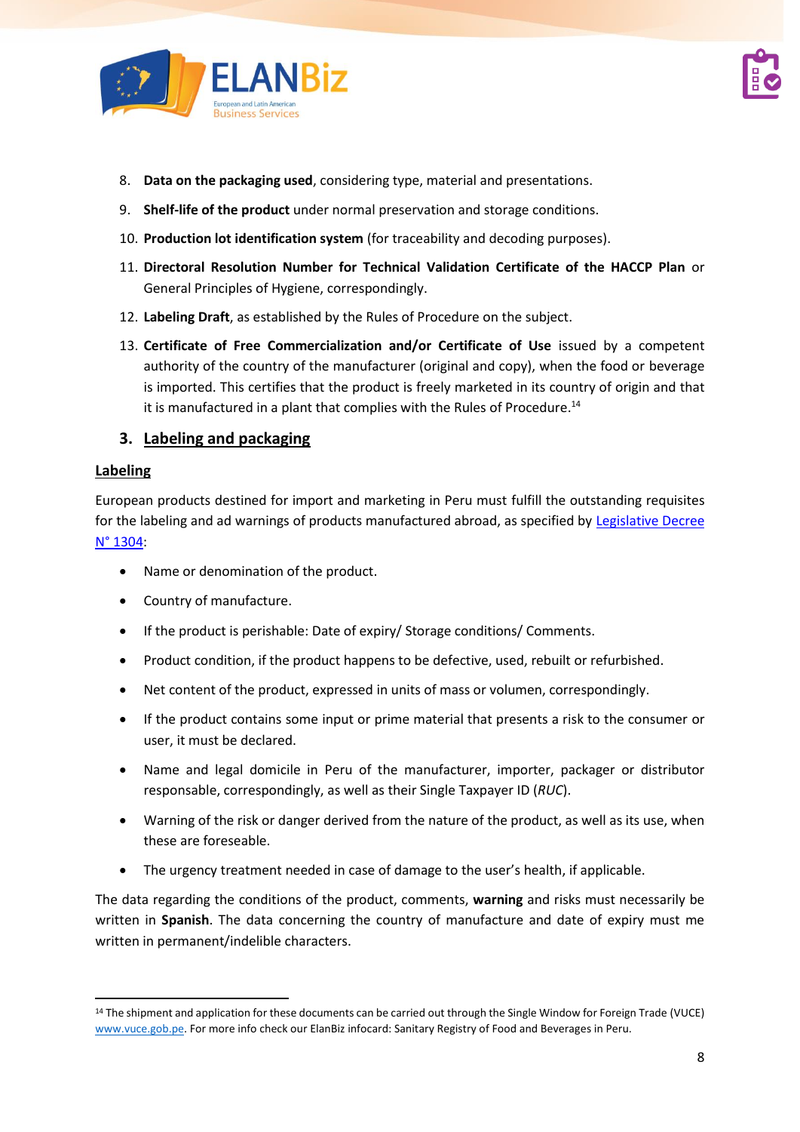



- 8. **Data on the packaging used**, considering type, material and presentations.
- 9. **Shelf-life of the product** under normal preservation and storage conditions.
- 10. **Production lot identification system** (for traceability and decoding purposes).
- 11. **Directoral Resolution Number for Technical Validation Certificate of the HACCP Plan** or General Principles of Hygiene, correspondingly.
- 12. **Labeling Draft**, as established by the Rules of Procedure on the subject.
- 13. **Certificate of Free Commercialization and/or Certificate of Use** issued by a competent authority of the country of the manufacturer (original and copy), when the food or beverage is imported. This certifies that the product is freely marketed in its country of origin and that it is manufactured in a plant that complies with the Rules of Procedure.<sup>14</sup>

#### **3. Labeling and packaging**

#### **Labeling**

European products destined for import and marketing in Peru must fulfill the outstanding requisites for the labeling and ad warnings of products manufactured abroad, as specified by [Legislative Decree](https://busquedas.elperuano.pe/normaslegales/decreto-legislativo-que-aprueba-la-ley-de-etiquetado-y-verif-decreto-legislativo-n-1304-1468963-4/) [N° 1304:](https://busquedas.elperuano.pe/normaslegales/decreto-legislativo-que-aprueba-la-ley-de-etiquetado-y-verif-decreto-legislativo-n-1304-1468963-4/)

- Name or denomination of the product.
- Country of manufacture.
- If the product is perishable: Date of expiry/ Storage conditions/ Comments.
- Product condition, if the product happens to be defective, used, rebuilt or refurbished.
- Net content of the product, expressed in units of mass or volumen, correspondingly.
- If the product contains some input or prime material that presents a risk to the consumer or user, it must be declared.
- Name and legal domicile in Peru of the manufacturer, importer, packager or distributor responsable, correspondingly, as well as their Single Taxpayer ID (*RUC*).
- Warning of the risk or danger derived from the nature of the product, as well as its use, when these are foreseable.
- The urgency treatment needed in case of damage to the user's health, if applicable.

The data regarding the conditions of the product, comments, **warning** and risks must necessarily be written in **Spanish**. The data concerning the country of manufacture and date of expiry must me written in permanent/indelible characters.

<sup>14</sup> The shipment and application for these documents can be carried out through the Single Window for Foreign Trade (VUCE) [www.vuce.gob.pe.](http://www.vuce.gob.pe/) For more info check our ElanBiz infocard: Sanitary Registry of Food and Beverages in Peru.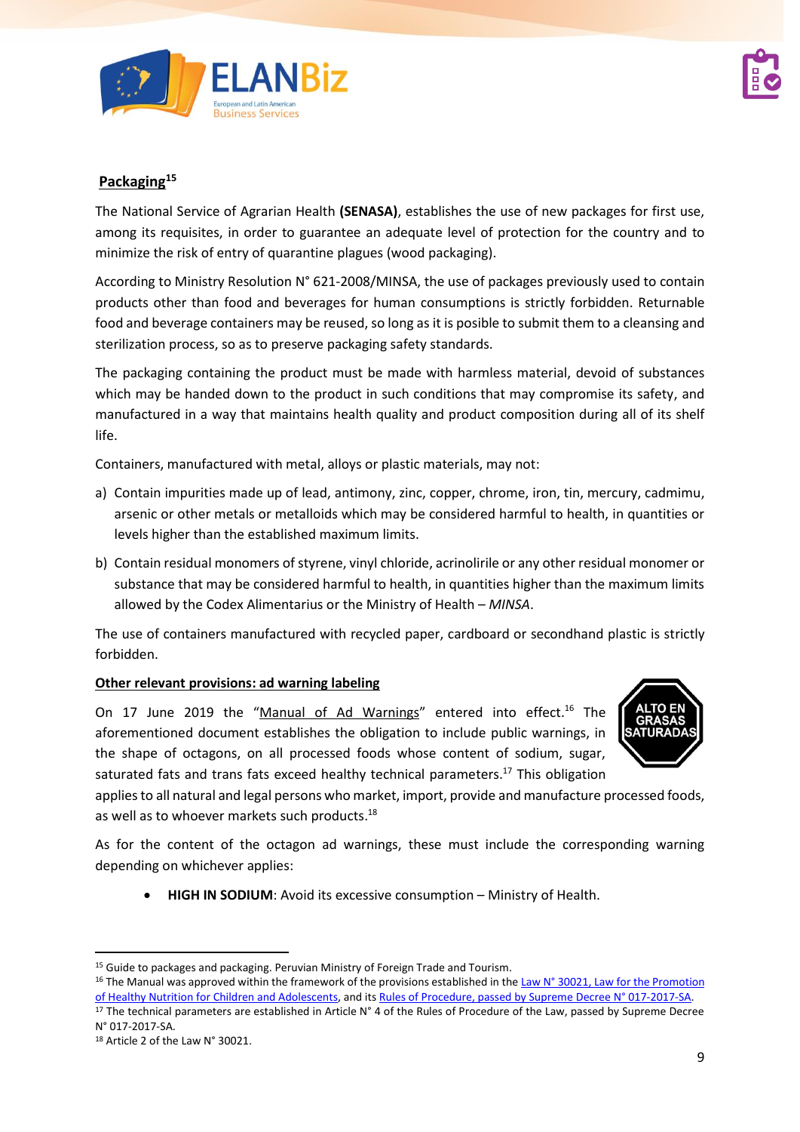



#### **Packaging<sup>15</sup>**

The National Service of Agrarian Health **(SENASA)**, establishes the use of new packages for first use, among its requisites, in order to guarantee an adequate level of protection for the country and to minimize the risk of entry of quarantine plagues (wood packaging).

According to Ministry Resolution N° 621-2008/MINSA, the use of packages previously used to contain products other than food and beverages for human consumptions is strictly forbidden. Returnable food and beverage containers may be reused, so long as it is posible to submit them to a cleansing and sterilization process, so as to preserve packaging safety standards.

The packaging containing the product must be made with harmless material, devoid of substances which may be handed down to the product in such conditions that may compromise its safety, and manufactured in a way that maintains health quality and product composition during all of its shelf life.

Containers, manufactured with metal, alloys or plastic materials, may not:

- a) Contain impurities made up of lead, antimony, zinc, copper, chrome, iron, tin, mercury, cadmimu, arsenic or other metals or metalloids which may be considered harmful to health, in quantities or levels higher than the established maximum limits.
- b) Contain residual monomers of styrene, vinyl chloride, acrinolirile or any other residual monomer or substance that may be considered harmful to health, in quantities higher than the maximum limits allowed by the Codex Alimentarius or the Ministry of Health – *MINSA*.

The use of containers manufactured with recycled paper, cardboard or secondhand plastic is strictly forbidden.

#### **Other relevant provisions: ad warning labeling**

On 17 June 2019 the "[Manual of Ad](https://busquedas.elperuano.pe/download/url/aprueban-manual-de-advertencias-publicitarias-en-el-marco-de-decreto-supremo-n-012-2018-sa-1660606-1) Warnings" entered into effect.<sup>16</sup> The aforementioned document establishes the obligation to include public warnings, in the shape of octagons, on all processed foods whose content of sodium, sugar, saturated fats and trans fats exceed healthy technical parameters.<sup>17</sup> This obligation



applies to all natural and legal persons who market, import, provide and manufacture processed foods, as well as to whoever markets such products.<sup>18</sup>

As for the content of the octagon ad warnings, these must include the corresponding warning depending on whichever applies:

• **HIGH IN SODIUM**: Avoid its excessive consumption – Ministry of Health.

<sup>&</sup>lt;sup>15</sup> Guide to packages and packaging. Peruvian Ministry of Foreign Trade and Tourism.

<sup>&</sup>lt;sup>16</sup> The Manual was approved within the framework of the provisions established in the Law N° 30021, Law for the Promotion [of Healthy Nutrition for Children and Adolescents,](http://www.leyes.congreso.gob.pe/Documentos/Leyes/30021.pdf) and its [Rules of Procedure, passed by Supreme Decree](https://busquedas.elperuano.pe/normaslegales/decreto-supremo-que-aprueba-el-reglamento-de-la-ley-n-30021-decreto-supremo-n-017-2017-sa-1534348-4/) N° 017-2017-SA.

<sup>&</sup>lt;sup>17</sup> The technical parameters are established in Article  $N^{\circ}$  4 of the Rules of Procedure of the Law, passed by Supreme Decree N° 017-2017-SA.

<sup>18</sup> Article 2 of the Law N° 30021.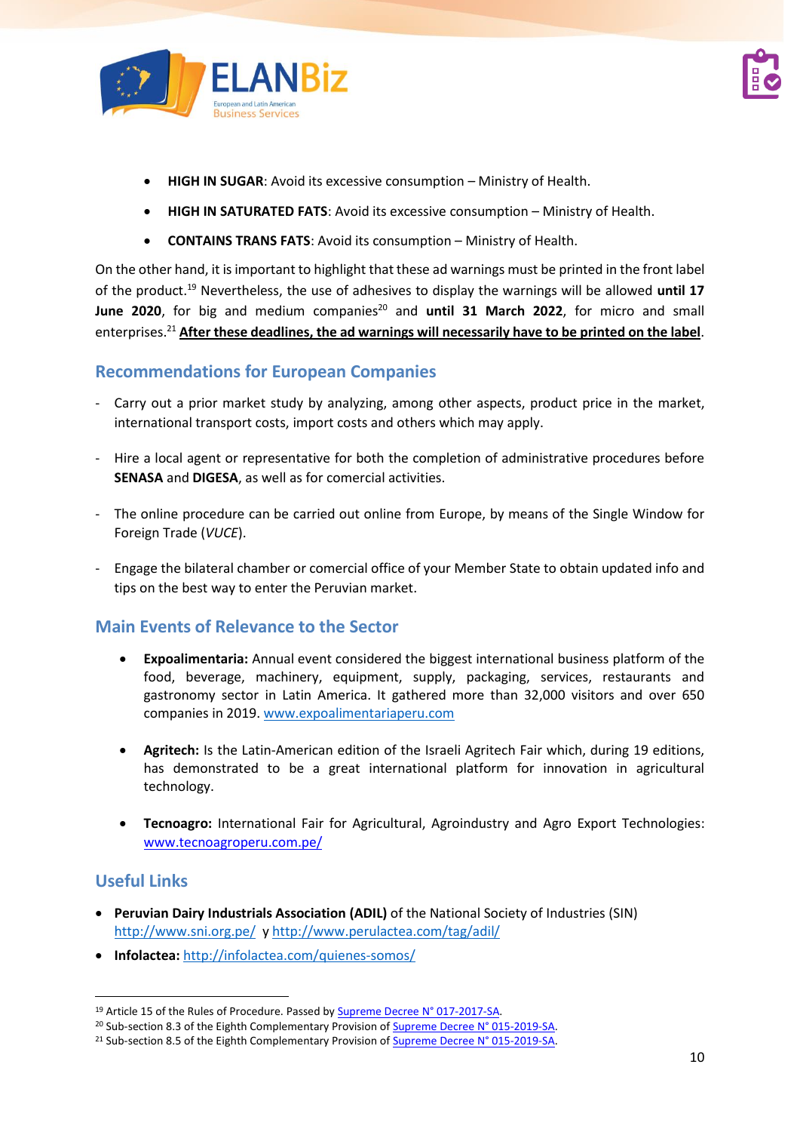



- **HIGH IN SUGAR**: Avoid its excessive consumption Ministry of Health.
- **HIGH IN SATURATED FATS**: Avoid its excessive consumption Ministry of Health.
- **CONTAINS TRANS FATS**: Avoid its consumption Ministry of Health.

On the other hand, it is important to highlight that these ad warnings must be printed in the front label of the product. <sup>19</sup> Nevertheless, the use of adhesives to display the warnings will be allowed **until 17** June 2020, for big and medium companies<sup>20</sup> and until 31 March 2022, for micro and small enterprises. <sup>21</sup> **After these deadlines, the ad warnings will necessarily have to be printed on the label**.

#### **Recommendations for European Companies**

- Carry out a prior market study by analyzing, among other aspects, product price in the market, international transport costs, import costs and others which may apply.
- Hire a local agent or representative for both the completion of administrative procedures before **SENASA** and **DIGESA**, as well as for comercial activities.
- The online procedure can be carried out online from Europe, by means of the Single Window for Foreign Trade (*VUCE*).
- Engage the bilateral chamber or comercial office of your Member State to obtain updated info and tips on the best way to enter the Peruvian market.

### **Main Events of Relevance to the Sector**

- **Expoalimentaria:** Annual event considered the biggest international business platform of the food, beverage, machinery, equipment, supply, packaging, services, restaurants and gastronomy sector in Latin America. It gathered more than 32,000 visitors and over 650 companies in 2019. [www.expoalimentariaperu.com](http://www.expoalimentariaperu.com/)
- **Agritech:** Is the Latin-American edition of the Israeli Agritech Fair which, during 19 editions, has demonstrated to be a great international platform for innovation in agricultural technology.
- **Tecnoagro:** International Fair for Agricultural, Agroindustry and Agro Export Technologies: [www.tecnoagroperu.com.pe/](http://www.tecnoagroperu.com.pe/)

### **Useful Links**

- **Peruvian Dairy Industrials Association (ADIL)** of the National Society of Industries (SIN) <http://www.sni.org.pe/>[y http://www.perulactea.com/tag/adil/](http://www.perulactea.com/tag/adil/)
- **Infolactea:** <http://infolactea.com/quienes-somos/>

<sup>&</sup>lt;sup>19</sup> Article 15 of the Rules of Procedure. Passed by **Supreme Decree N° 017-2017-SA**.

<sup>&</sup>lt;sup>20</sup> Sub-section 8.3 of the Eighth Complementary Provision o[f Supreme Decree N° 015-2019-SA.](file:///C:/Users/Ricardo/AppData/Local/Microsoft/Windows/INetCache/Content.Outlook/SLYSK5LV/usquedas.elperuano.pe/normaslegales/decreto-supremo-que-modifica-el-reglamento-de-la-ley-no-3002-decreto-supremo-n-015-2019-sa-1779615-4/)

<sup>&</sup>lt;sup>21</sup> Sub-section 8.5 of the Eighth Complementary Provision o[f Supreme Decree N° 015-2019-SA.](file:///C:/Users/Ricardo/AppData/Local/Microsoft/Windows/INetCache/Content.Outlook/SLYSK5LV/usquedas.elperuano.pe/normaslegales/decreto-supremo-que-modifica-el-reglamento-de-la-ley-no-3002-decreto-supremo-n-015-2019-sa-1779615-4/)